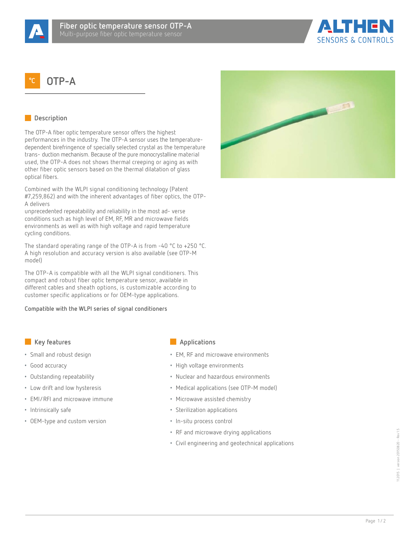



# **°C OTP-A**

## **Description**

The OTP-A fiber optic temperature sensor offers the highest performances in the industry. The OTP-A sensor uses the temperaturedependent birefringence of specially selected crystal as the temperature trans- duction mechanism. Because of the pure monocrystalline material used, the OTP-A does not shows thermal creeping or aging as with other fiber optic sensors based on the thermal dilatation of glass optical fibers.

Combined with the WLPI signal conditioning technology (Patent #7,259,862) and with the inherent advantages of fiber optics, the OTP-A delivers

unprecedented repeatability and reliability in the most ad- verse conditions such as high level of EM, RF, MR and microwave fields environments as well as with high voltage and rapid temperature cycling conditions.

The standard operating range of the OTP-A is from -40 °C to +250 °C. A high resolution and accuracy version is also available (see OTP-M model)

The OTP-A is compatible with all the WLPI signal conditioners. This compact and robust fiber optic temperature sensor, available in different cables and sheath options, is customizable according to customer specific applications or for OEM-type applications.

**Compatible with the WLPI series of signal conditioners**

- Small and robust design
- Good accuracy
- Outstanding repeatability
- Low drift and low hysteresis
- EMI/RFI and microwave immune
- Intrinsically safe
- OEM-type and custom version

# **Key features Applications**

- EM, RF and microwave environments
- High voltage environments
- Nuclear and hazardous environments
- Medical applications (see OTP-M model)
- Microwave assisted chemistry
- Sterilization applications
- In-situ process control
- RF and microwave drying applications
- Civil engineering and geotechnical applications